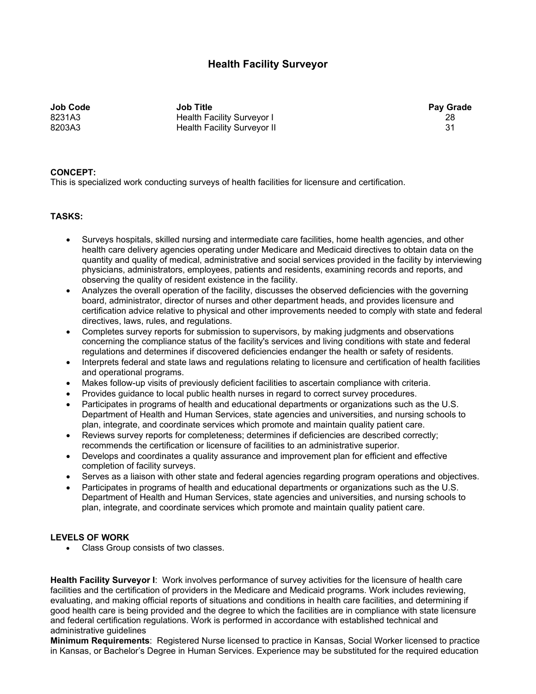## **Health Facility Surveyor**

**Job Code Job Title Pay Grade**  8231A3 Health Facility Surveyor I 28 8203A3 **Health Facility Surveyor II** 31

**CONCEPT:** This is specialized work conducting surveys of health facilities for licensure and certification.

## **TASKS:**

- Surveys hospitals, skilled nursing and intermediate care facilities, home health agencies, and other health care delivery agencies operating under Medicare and Medicaid directives to obtain data on the quantity and quality of medical, administrative and social services provided in the facility by interviewing physicians, administrators, employees, patients and residents, examining records and reports, and observing the quality of resident existence in the facility.
- Analyzes the overall operation of the facility, discusses the observed deficiencies with the governing board, administrator, director of nurses and other department heads, and provides licensure and certification advice relative to physical and other improvements needed to comply with state and federal directives, laws, rules, and regulations.
- Completes survey reports for submission to supervisors, by making judgments and observations concerning the compliance status of the facility's services and living conditions with state and federal regulations and determines if discovered deficiencies endanger the health or safety of residents.
- Interprets federal and state laws and regulations relating to licensure and certification of health facilities and operational programs.
- Makes follow-up visits of previously deficient facilities to ascertain compliance with criteria.
- Provides guidance to local public health nurses in regard to correct survey procedures.
- Participates in programs of health and educational departments or organizations such as the U.S. Department of Health and Human Services, state agencies and universities, and nursing schools to plan, integrate, and coordinate services which promote and maintain quality patient care.
- Reviews survey reports for completeness; determines if deficiencies are described correctly; recommends the certification or licensure of facilities to an administrative superior.
- Develops and coordinates a quality assurance and improvement plan for efficient and effective completion of facility surveys.
- Serves as a liaison with other state and federal agencies regarding program operations and objectives.
- Participates in programs of health and educational departments or organizations such as the U.S. Department of Health and Human Services, state agencies and universities, and nursing schools to plan, integrate, and coordinate services which promote and maintain quality patient care.

## **LEVELS OF WORK**

Class Group consists of two classes.

**Health Facility Surveyor I**: Work involves performance of survey activities for the licensure of health care facilities and the certification of providers in the Medicare and Medicaid programs. Work includes reviewing, evaluating, and making official reports of situations and conditions in health care facilities, and determining if good health care is being provided and the degree to which the facilities are in compliance with state licensure and federal certification regulations. Work is performed in accordance with established technical and administrative guidelines

**Minimum Requirements**: Registered Nurse licensed to practice in Kansas, Social Worker licensed to practice in Kansas, or Bachelor's Degree in Human Services. Experience may be substituted for the required education